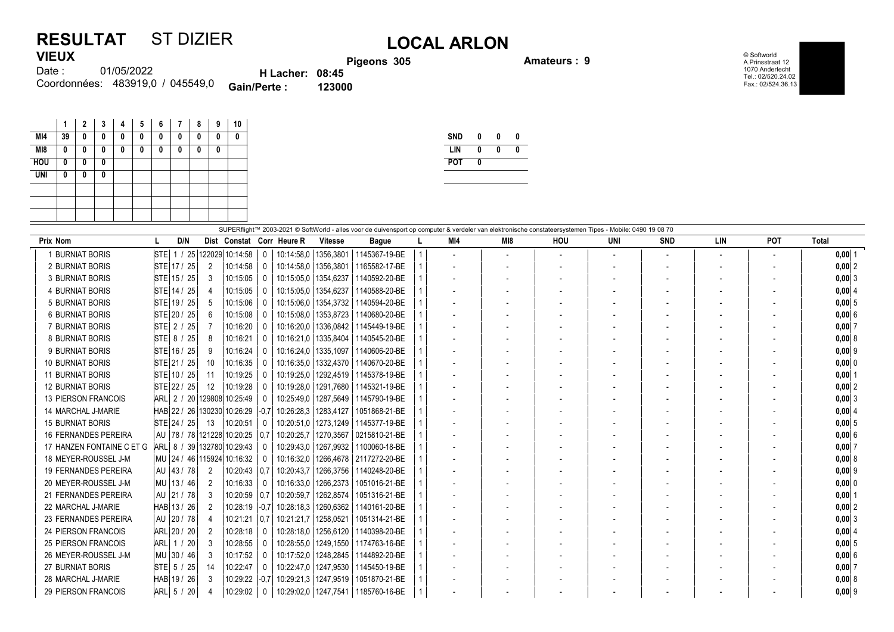## RESULTAT ST DIZIER LOCAL ARLON VIEUX

Pigeons 305 **Amateurs : 9** 

© Softworld A.Prinsstraat 12 1070 Anderlecht Tel.: 02/520.24.02 Fax.: 02/524.36.13

|        |                                  |                        | Pige   |
|--------|----------------------------------|------------------------|--------|
| Date : | 01/05/2022                       | <b>H</b> Lacher: 08:45 |        |
|        | Coordonnées: 483919,0 / 045549,0 | Gain/Perte:            | 123000 |

|            | 1  | $\mathbf{2}$ | 3 | 4 | 5 | 6 | 7 | 8 | 9 | 10           |
|------------|----|--------------|---|---|---|---|---|---|---|--------------|
| MI4        | 39 | 0            | 0 | 0 | 0 | 0 | 0 | 0 | 0 | 0            |
| M18        | 0  | 0            | 0 | 0 | 0 | 0 | 0 | 0 | 0 |              |
| <b>HOU</b> | 0  | 0            | 0 |   |   |   |   |   |   |              |
| <b>UNI</b> | 0  | 0            | 0 |   |   |   |   |   |   |              |
|            |    |              |   |   |   |   |   |   |   |              |
|            |    |              |   |   |   |   |   |   |   |              |
|            |    |              |   |   |   |   |   |   |   |              |
|            |    |              |   |   |   |   |   |   |   | SLIPERflight |

| <b>SND</b> | 0 | Λ | Λ |
|------------|---|---|---|
| LIN        | 0 | Λ | Λ |
| <b>POT</b> | Λ |   |   |
|            |   |   |   |

| SUPERflight™ 2003-2021 © SoftWorld - alles voor de duivensport op computer & verdeler van elektronische constateersystemen Tipes - Mobile: 0490 19 08 70 |                                |                |                    |              |                           |                        |                                        |  |     |                          |                |     |            |     |                          |              |
|----------------------------------------------------------------------------------------------------------------------------------------------------------|--------------------------------|----------------|--------------------|--------------|---------------------------|------------------------|----------------------------------------|--|-----|--------------------------|----------------|-----|------------|-----|--------------------------|--------------|
| <b>Prix Nom</b>                                                                                                                                          | D/N                            |                |                    |              | Dist Constat Corr Heure R | <b>Vitesse</b>         | <b>Bague</b>                           |  | MI4 | MI8                      | <b>HOU</b>     | UNI | <b>SND</b> | LIN | <b>POT</b>               | <b>Total</b> |
| 1 BURNIAT BORIS                                                                                                                                          | <b>STE</b><br>11               |                | 25 122029 10:14:58 | $\Omega$     |                           |                        | 10:14:58.0   1356.3801   1145367-19-BE |  |     | $\overline{\phantom{a}}$ | $\overline{a}$ |     |            |     | $\overline{\phantom{a}}$ | $0,00$ 1     |
| 2 BURNIAT BORIS                                                                                                                                          | $STE$ 17 /<br>25               | 2              | 10:14:58           | $\mathbf{0}$ | 10:14:58.0                | 1356.3801              | 1165582-17-BE                          |  |     |                          |                |     |            |     |                          | $0,00$ 2     |
| <b>3 BURNIAT BORIS</b>                                                                                                                                   | STE 15 / 25                    | 3              | 10:15:05           | $\Omega$     | 10:15:05.0   1354.6237    |                        | 1140592-20-BE                          |  |     |                          |                |     |            |     |                          | $0,00$ 3     |
| <b>4 BURNIAT BORIS</b>                                                                                                                                   | STE 14 / 25                    |                | 10:15:05           |              | 10:15:05.0                | 1354,6237              | 1140588-20-BE                          |  |     |                          |                |     |            |     |                          | $0,00$ 4     |
| 5 BURNIAT BORIS                                                                                                                                          | STE 19 / 25                    | 5              | 10:15:06           | $\Omega$     | 10:15:06.0                |                        | 1354,3732   1140594-20-BE              |  |     |                          |                |     |            |     |                          | 0,005        |
| <b>6 BURNIAT BORIS</b>                                                                                                                                   | STE 20 / 25                    | 6              | 10:15:08           | $\Omega$     | 10:15:08.0                |                        | 1353,8723   1140680-20-BE              |  |     |                          |                |     |            |     |                          | 0,006        |
| 7 BURNIAT BORIS                                                                                                                                          | $STE$ 2 / 25                   |                | 10:16:20           |              |                           |                        | 10:16:20.0   1336.0842   1145449-19-BE |  |     |                          |                |     |            |     |                          | $0,00$ 7     |
| 8 BURNIAT BORIS                                                                                                                                          | $STE$ 8 /<br>25                | 8              | 10:16:21           | $\mathbf{0}$ |                           |                        | 10:16:21.0   1335.8404   1140545-20-BE |  |     |                          |                |     |            |     |                          | 0,008        |
| 9 BURNIAT BORIS                                                                                                                                          | STE 16 / 25                    | 9              | 10:16:24           | $\Omega$     |                           | 10:16:24,0   1335,1097 | 1140606-20-BE                          |  |     |                          |                |     |            |     |                          | $0,00$  9    |
| <b>10 BURNIAT BORIS</b>                                                                                                                                  | STE 21 / 25                    | 10             | 10:16:35           |              | 10:16:35.0                |                        | 1332,4370   1140670-20-BE              |  |     |                          |                |     |            |     |                          | 0,00 0       |
| <b>11 BURNIAT BORIS</b>                                                                                                                                  | STE 10 / 25                    | 11             | 10:19:25           | $\Omega$     |                           |                        | 10:19:25.0   1292.4519   1145378-19-BE |  |     |                          |                |     |            |     |                          | $0,00$ 1     |
| <b>12 BURNIAT BORIS</b>                                                                                                                                  | STE 22 / 25                    | 12             | 10:19:28           | $\Omega$     | 10:19:28.0                |                        | 1291,7680   1145321-19-BE              |  |     |                          |                |     |            |     |                          | $0,00$ 2     |
| <b>13 PIERSON FRANCOIS</b>                                                                                                                               | ARL 2 / 20 129808 10:25:49     |                |                    | $\Omega$     |                           |                        | 10:25:49.0   1287.5649   1145790-19-BE |  |     |                          |                |     |            |     |                          | $0,00$ 3     |
| 14 MARCHAL J-MARIE                                                                                                                                       | HAB 22 / 26 130230 10:26:29    |                |                    | $-0.7$       | 10:26:28,3   1283,4127    |                        | 1051868-21-BE                          |  |     |                          |                |     |            |     |                          | $0,00$ 4     |
| <b>15 BURNIAT BORIS</b>                                                                                                                                  | $STE$ 24 / 25                  | 13             | 10:20:51           |              |                           |                        | 10:20:51.0   1273.1249   1145377-19-BE |  |     |                          |                |     |            |     |                          | 0,005        |
| <b>16 FERNANDES PEREIRA</b>                                                                                                                              | AU 78 / 78 121228 10:20:25 0.7 |                |                    |              | 10:20:25.7                | 1270,3567              | 0215810-21-BE                          |  |     |                          |                |     |            |     |                          | 0,006        |
| 17 HANZEN FONTAINE C ET G                                                                                                                                | ARL 8 / 39 132780 10:29:43     |                |                    | $\Omega$     |                           |                        | 10:29:43.0   1267.9932   1100060-18-BE |  |     |                          |                |     |            |     |                          | $0,00$ 7     |
| 18 MEYER-ROUSSEL J-M                                                                                                                                     | MU  24 / 46  115924  10:16:32  |                |                    |              | 10:16:32.0                |                        | 1266.4678 2117272-20-BE                |  |     |                          |                |     |            |     |                          | 0,008        |
| <b>19 FERNANDES PEREIRA</b>                                                                                                                              | 43/78 <br>l AU                 | $\overline{2}$ | 10:20:43 0.7       |              | 10:20:43,7                |                        | 1266,3756   1140248-20-BE              |  |     |                          |                |     |            |     |                          | $0,00$ 9     |
| 20 MEYER-ROUSSEL J-M                                                                                                                                     | l MU<br> 13/46                 | $\overline{2}$ | 10:16:33           | $\Omega$     | 10:16:33.0                | 1266,2373              | 1051016-21-BE                          |  |     |                          |                |     |            |     |                          | $0,000$ 0    |
| 21 FERNANDES PEREIRA                                                                                                                                     | AU<br> 21/78                   | 3              | 10:20:59 0.7       |              | 10:20:59.7                | 1262,8574              | 1051316-21-BE                          |  |     |                          |                |     |            |     |                          | 0,00         |
| 22 MARCHAL J-MARIE                                                                                                                                       | HAB 13 / 26                    | $\overline{2}$ | 10:28:19 -0.7      |              | 10:28:18.3                |                        | 1260,6362   1140161-20-BE              |  |     |                          |                |     |            |     |                          | $0,00$  2    |
| 23 FERNANDES PEREIRA                                                                                                                                     | AU 20 / 78                     |                | 10:21:21           | 0.7          | 10:21:21.7   1258.0521    |                        | 1051314-21-BE                          |  |     |                          |                |     |            |     |                          | $0,00$ 3     |
| 24 PIERSON FRANCOIS                                                                                                                                      | ARL 20 / 20                    | 2              | 10:28:18           |              |                           |                        | 10:28:18.0   1256.6120   1140398-20-BE |  |     |                          |                |     |            |     |                          | $0,00$ 4     |
| <b>25 PIERSON FRANCOIS</b>                                                                                                                               | $ARL$ 1 /<br>20                | 3              | 10:28:55           | $\mathbf{0}$ |                           |                        | 10:28:55,0   1249,1550   1174763-16-BE |  |     |                          |                |     |            |     |                          | 0,005        |
| 26 MEYER-ROUSSEL J-M                                                                                                                                     | MU 30 / 46                     | 3              | 10:17:52           | $\Omega$     |                           |                        | 10:17:52.0   1248.2845   1144892-20-BE |  |     |                          |                |     |            |     |                          | 0,006        |
| <b>27 BURNIAT BORIS</b>                                                                                                                                  | $STE$ 5 /<br>25                | 14             | 10:22:47           | $\Omega$     | 10:22:47.0   1247.9530    |                        | 1145450-19-BE                          |  |     |                          |                |     |            |     |                          | $0,00$ 7     |
| 28 MARCHAL J-MARIE                                                                                                                                       | HAB 19 / 26                    | 3              | 10:29:22 -0.7      |              |                           |                        | 10:29:21,3   1247,9519   1051870-21-BE |  |     |                          |                |     |            |     |                          | 0,008        |
| 29 PIERSON FRANCOIS                                                                                                                                      | ARL 5 /<br>20                  |                | 10:29:02           | $\mathbf{0}$ |                           |                        | 10:29:02.0   1247.7541   1185760-16-BE |  |     |                          |                |     |            |     |                          | $0,00$ 9     |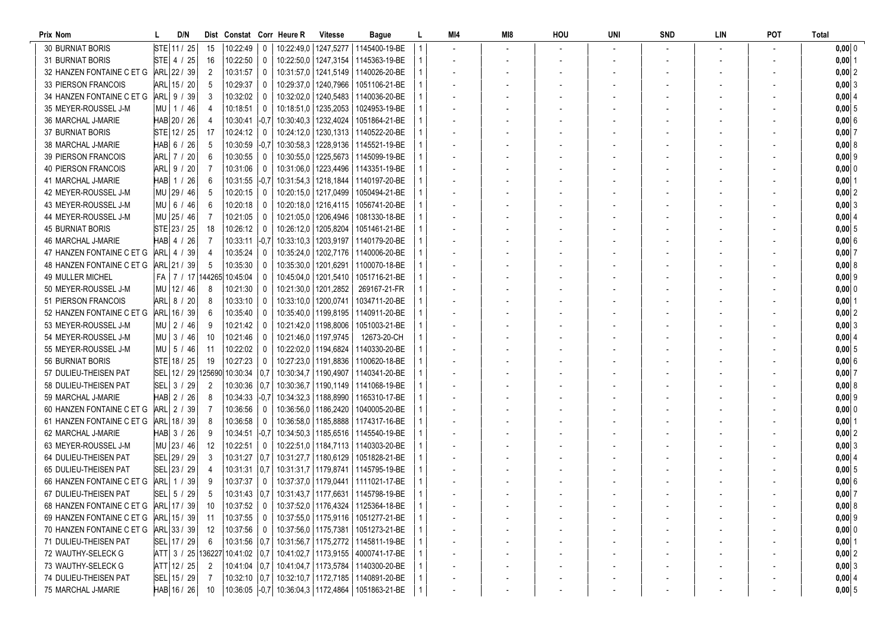| Prix Nom                                 | D/N                             |     | Dist Constat Corr Heure R |                     |                        | <b>Vitesse</b>         | <b>Bague</b>                                          | MI4 | MI8 | HOU | UNI | <b>SND</b> | <b>LIN</b> | POT | Total            |
|------------------------------------------|---------------------------------|-----|---------------------------|---------------------|------------------------|------------------------|-------------------------------------------------------|-----|-----|-----|-----|------------|------------|-----|------------------|
| <b>30 BURNIAT BORIS</b>                  | STE 11 / 25                     | 15  | 10:22:49                  | 0                   |                        | 10:22:49.0   1247.5277 | 1145400-19-BE                                         |     |     |     |     |            |            |     | $0,00$ 0         |
| <b>31 BURNIAT BORIS</b>                  | $STE$ 4 / 25                    | 16  | 10:22:50                  | $\mathbf 0$         |                        | 10:22:50,0   1247,3154 | 1145363-19-BE                                         |     |     |     |     |            |            |     | $0,00$ 1         |
| 32 HANZEN FONTAINE C ET G                | ARL 22 / 39                     | 2   | 10:31:57                  | $\mathbf 0$         |                        |                        | 10:31:57,0   1241,5149   1140026-20-BE                |     |     |     |     |            |            |     | $0,00$ 2         |
| 33 PIERSON FRANCOIS                      | ARL 15 / 20                     | 5   | 10:29:37                  | $\overline{0}$      |                        | 10:29:37,0   1240,7966 | 1051106-21-BE                                         |     |     |     |     |            |            |     | $0,00 \,   \, 3$ |
| 34 HANZEN FONTAINE C ET G                | ARL 9 / 39                      | 3   | 10:32:02                  | 0                   |                        | 10:32:02.0   1240.5483 | 1140036-20-BE                                         |     |     |     |     |            |            |     | $0,00$ 4         |
| 35 MEYER-ROUSSEL J-M                     | MU   1 / 46                     | 4   | 10:18:51                  | 0                   |                        | 10:18:51.0   1235.2053 | 1024953-19-BE                                         |     |     |     |     |            |            |     | 0,005            |
| 36 MARCHAL J-MARIE                       | HAB 20 / 26                     | 4   | 10:30:41                  | $ -0,7$             | 10:30:40,3   1232,4024 |                        | 1051864-21-BE                                         |     |     |     |     |            |            |     | 0,00 6           |
| <b>37 BURNIAT BORIS</b>                  | STE 12 / 25                     | -17 | 10:24:12                  | $\Omega$            |                        | 10:24:12.0   1230.1313 | 1140522-20-BE                                         |     |     |     |     |            |            |     | $0,00$ 7         |
| 38 MARCHAL J-MARIE                       | $HAB$ 6 / 26                    | 5   | 10:30:59                  | $ -0,7$             |                        | 10:30:58,3   1228,9136 | 1145521-19-BE                                         |     |     |     |     |            |            |     | 0,00 8           |
| <b>39 PIERSON FRANCOIS</b>               | ARL 7 / 20                      | 6   | 10:30:55                  | 0                   |                        | 10:30:55,0   1225,5673 | 1145099-19-BE                                         |     |     |     |     |            |            |     | $0,00$ 9         |
| 40 PIERSON FRANCOIS                      | ARL 9 / 20                      | -7  | 10:31:06                  | 0                   |                        | 10:31:06.0   1223.4496 | 1143351-19-BE                                         |     |     |     |     |            |            |     | $0,00$ 0         |
| 41 MARCHAL J-MARIE                       | HAB 1 / 26                      | 6   | 10:31:55                  | $\left[-0,7\right]$ | 10:31:54,3   1218,1844 |                        | 1140197-20-BE                                         |     |     |     |     |            |            |     | $0,00$ 1         |
| 42 MEYER-ROUSSEL J-M                     | MU 29 / 46                      | -5  | 10:20:15                  | 0                   |                        | 10:20:15,0   1217,0499 | 1050494-21-BE                                         |     |     |     |     |            |            |     | 0,002            |
| 43 MEYER-ROUSSEL J-M                     | MU 6 / 46                       | 6   | 10:20:18                  | 0                   |                        | 10:20:18,0   1216,4115 | 1056741-20-BE                                         |     |     |     |     |            |            |     | $0,00$ 3         |
| 44 MEYER-ROUSSEL J-M                     | MU 25 / 46                      | -7  | 10:21:05                  | 0                   |                        | 10:21:05.0   1206.4946 | 1081330-18-BE                                         |     |     |     |     |            |            |     | $0,00$ 4         |
| <b>45 BURNIAT BORIS</b>                  | STE 23 / 25                     | 18  | 10:26:12                  | 0                   |                        | 10:26:12,0   1205,8204 | 1051461-21-BE                                         |     |     |     |     |            |            |     | 0,005            |
| 46 MARCHAL J-MARIE                       | HAB  4 / 26                     | -7  | $10:33:11$ -0.7           |                     | 10:33:10.3   1203.9197 |                        | 1140179-20-BE                                         |     |     |     |     |            |            |     | 0,006            |
| 47 HANZEN FONTAINE C ET G                | ARL  4 / 39                     | 4   | 10:35:24                  | $\Omega$            |                        | 10:35:24,0   1202,7176 | 1140006-20-BE                                         |     |     |     |     |            |            |     | 0,00 7           |
| 48 HANZEN FONTAINE C ET G                | ARL 21 / 39                     | 5   | 10:35:30                  | $\mathbf{0}$        |                        | 10:35:30.0   1201.6291 | 1100070-18-BE                                         |     |     |     |     |            |            |     | 0,00 8           |
| 49 MULLER MICHEL                         | FA   7 / 17   144265   10:45:04 |     |                           | $\mathbf{0}$        |                        | 10:45:04.0   1201.5410 | 1051716-21-BE                                         |     |     |     |     |            |            |     | $0,00$ 9         |
| 50 MEYER-ROUSSEL J-M                     | MU 12 / 46                      | 8   | 10:21:30                  | 0                   | 10:21:30,0   1201,2852 |                        | 269167-21-FR                                          |     |     |     |     |            |            |     | 0,00 0           |
| 51 PIERSON FRANCOIS                      | ARL  8 / 20                     | 8   | 10:33:10                  | 0                   |                        | 10:33:10.0   1200.0741 | 1034711-20-BE                                         |     |     |     |     |            |            |     | $0,00$ 1         |
| 52 HANZEN FONTAINE C ET G                | ARL   16 / 39                   | 6   | 10:35:40                  | 0                   |                        | 10:35:40,0   1199,8195 | 1140911-20-BE                                         |     |     |     |     |            |            |     | 0,002            |
| 53 MEYER-ROUSSEL J-M                     | MU 2 / 46                       | 9   | 10:21:42                  | 0                   |                        | 10:21:42,0   1198,8006 | 1051003-21-BE                                         |     |     |     |     |            |            |     | 0,003            |
| 54 MEYER-ROUSSEL J-M                     | MU 3 / 46                       | 10  | 10:21:46                  | $\Omega$            |                        | 10:21:46,0   1197,9745 | 12673-20-CH                                           |     |     |     |     |            |            |     | $0,00$ 4         |
| 55 MEYER-ROUSSEL J-M                     | MU   5 / 46                     | -11 | 10:22:02                  | $\Omega$            |                        | 10:22:02.0   1194.6824 | 1140330-20-BE                                         |     |     |     |     |            |            |     | $0,00$ 5         |
| 56 BURNIAT BORIS                         | STE 18 / 25                     | -19 | 10:27:23                  | 0                   |                        | 10:27:23.0   1191.8836 | 1100620-18-BE                                         |     |     |     |     |            |            |     | $0,00 \, 6$      |
| 57 DULIEU-THEISEN PAT                    | SEL 12 / 29 125690 10:30:34     |     |                           | 0.7                 |                        | 10:30:34,7   1190,4907 | 1140341-20-BE                                         |     |     |     |     |            |            |     | $0,00$ 7         |
| 58 DULIEU-THEISEN PAT                    | SEL 3 / 29                      | 2   | $10:30:36$ 0,7            |                     |                        | 10:30:36,7   1190,1149 | 1141068-19-BE                                         |     |     |     |     |            |            |     | 0,00 8           |
| 59 MARCHAL J-MARIE                       | $HAB$ 2 / 26                    | 8   | $10:34:33$ -0.7           |                     | 10:34:32,3   1188,8990 |                        | 1165310-17-BE                                         |     |     |     |     |            |            |     | $0,00$ 9         |
| 60 HANZEN FONTAINE C ET G                | ARL 2 / 39                      | 7   | 10:36:56                  | 0                   |                        | 10:36:56.0   1186.2420 | 1040005-20-BE                                         |     |     |     |     |            |            |     | $0,00$ 0         |
| 61 HANZEN FONTAINE C ET G                | ARL 18 / 39                     | 8   | 10:36:58                  | 0                   |                        |                        | 10:36:58,0   1185,8888   1174317-16-BE                |     |     |     |     |            |            |     | $0,00$   1       |
| 62 MARCHAL J-MARIE                       | HAB 3 / 26                      | 9   | 10:34:51                  | $ -0.7 $            |                        | 10:34:50.3   1185,6516 | 1145540-19-BE                                         |     |     |     |     |            |            |     | 0,002            |
| 63 MEYER-ROUSSEL J-M                     | MU 23 / 46                      | -12 | 10:22:51                  | $\Omega$            |                        | 10:22:51,0   1184,7113 | 1140303-20-BE                                         |     |     |     |     |            |            |     | 0,0013           |
| 64 DULIEU-THEISEN PAT                    | SEL 29 / 29                     | 3   | 10:31:27                  | $\vert 0.7$         |                        | 10:31:27.7   1180.6129 | 1051828-21-BE                                         |     |     |     |     |            |            |     | $0,00$ 4         |
| 65 DULIEU-THEISEN PAT                    | SEL 23 / 29                     | 4   | 10:31:31                  | 0,7                 |                        | 10:31:31,7   1179,8741 | 1145795-19-BE                                         |     |     |     |     |            |            |     | 0,005            |
| 66 HANZEN FONTAINE C ET G                | ARL   1 / 39                    | 9   | 10:37:37                  | 0                   |                        |                        | 10:37:37.0   1179.0441   1111021-17-BE                |     |     |     |     |            |            |     | 0,00 6           |
| 67 DULIEU-THEISEN PAT                    | $ SEL $ 5 / 29                  | 5   | $10:31:43$ 0.7            |                     |                        |                        | 10:31:43,7  1177,6631   1145798-19-BE                 |     |     |     |     |            |            |     | $0,00$ 7         |
| 68 HANZEN FONTAINE C ET G  ARL   17 / 39 |                                 | 10  | 10:37:52                  | $\mathbf 0$         |                        |                        | 10:37:52,0   1176,4324   1125364-18-BE                |     |     |     |     |            |            |     | $0,00 \,   \, 8$ |
| 69 HANZEN FONTAINE C ET G                | ARL 15 / 39                     | 11  | $10:37:55$ 0              |                     |                        |                        | 10:37:55,0   1175,9116   1051277-21-BE                |     |     |     |     |            |            |     | 0,00   9         |
| 70 HANZEN FONTAINE C ET G                | ARL 33 / 39                     | 12  | $10:37:56$ 0              |                     |                        |                        | 10:37:56,0   1175,7381   1051273-21-BE                |     |     |     |     |            |            |     | 0,00 0           |
| 71 DULIEU-THEISEN PAT                    | SEL 17 / 29                     | - 6 | $10:31:56$   0,7          |                     |                        |                        | 10:31:56,7   1175,2772   1145811-19-BE                |     |     |     |     |            |            |     | $0,00$  1        |
| 72 WAUTHY-SELECK G                       | ATT 3 / 25 136227 10:41:02 0,7  |     |                           |                     |                        |                        | 10:41:02.7  1173.9155   4000741-17-BE                 |     |     |     |     |            |            |     | $0,00$ 2         |
| 73 WAUTHY-SELECK G                       | ATT 12 / 25                     | 2   | $10:41:04$ 0,7            |                     |                        |                        | 10:41:04,7   1173,5784   1140300-20-BE                |     |     |     |     |            |            |     | $0,00$ 3         |
| 74 DULIEU-THEISEN PAT                    | SEL 15 / 29                     |     |                           |                     |                        |                        | 10:32:10 0.7   10:32:10.7   1172.7185   1140891-20-BE |     |     |     |     |            |            |     | $0,00$ 4         |
| 75 MARCHAL J-MARIE                       | HAB 16 / 26                     | 10  |                           |                     |                        |                        | 10:36:05 -0,7 10:36:04,3 1172,4864 1051863-21-BE      |     |     |     |     |            |            |     | $0,00$ 5         |